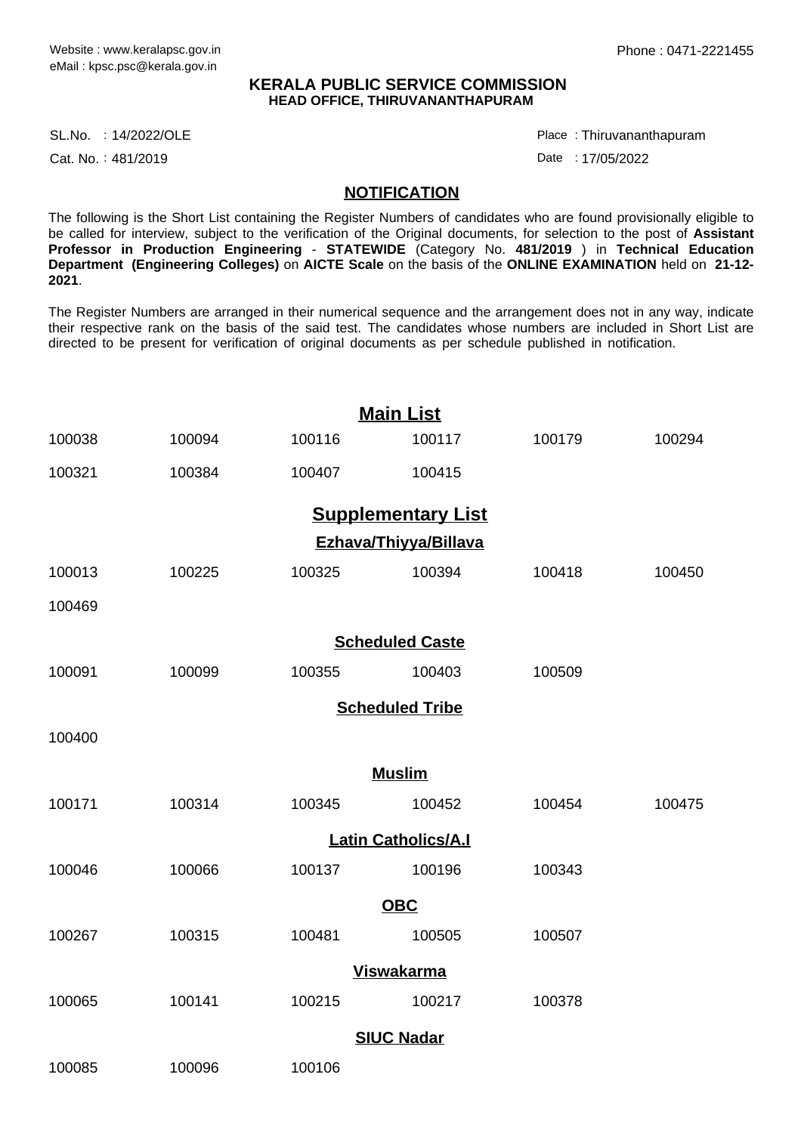### **KERALA PUBLIC SERVICE COMMISSION HEAD OFFICE, THIRUVANANTHAPURAM**

SL.No. :14/2022/OLE Place Place Place Place Place Place Place Place Place Place

Cat. No.: 481/2019

Thiruvananthapuram :

Date : 17/05/2022

### **NOTIFICATION**

The following is the Short List containing the Register Numbers of candidates who are found provisionally eligible to be called for interview, subject to the verification of the Original documents, for selection to the post of **Assistant Professor in Production Engineering** - **STATEWIDE** (Category No. **481/2019** ) in **Technical Education Department (Engineering Colleges)** on **AICTE Scale** on the basis of the **ONLINE EXAMINATION** held on **21-12- 2021**.

The Register Numbers are arranged in their numerical sequence and the arrangement does not in any way, indicate their respective rank on the basis of the said test. The candidates whose numbers are included in Short List are directed to be present for verification of original documents as per schedule published in notification.

| <b>Main List</b>           |        |        |                           |        |        |
|----------------------------|--------|--------|---------------------------|--------|--------|
| 100038                     | 100094 | 100116 | 100117                    | 100179 | 100294 |
| 100321                     | 100384 | 100407 | 100415                    |        |        |
|                            |        |        | <b>Supplementary List</b> |        |        |
| Ezhava/Thiyya/Billava      |        |        |                           |        |        |
| 100013                     | 100225 | 100325 | 100394                    | 100418 | 100450 |
| 100469                     |        |        |                           |        |        |
| <b>Scheduled Caste</b>     |        |        |                           |        |        |
| 100091                     | 100099 | 100355 | 100403                    | 100509 |        |
| <b>Scheduled Tribe</b>     |        |        |                           |        |        |
| 100400                     |        |        |                           |        |        |
| <b>Muslim</b>              |        |        |                           |        |        |
| 100171                     | 100314 | 100345 | 100452                    | 100454 | 100475 |
| <b>Latin Catholics/A.I</b> |        |        |                           |        |        |
| 100046                     | 100066 | 100137 | 100196                    | 100343 |        |
| <b>OBC</b>                 |        |        |                           |        |        |
| 100267                     | 100315 | 100481 | 100505                    | 100507 |        |
| <b>Viswakarma</b>          |        |        |                           |        |        |
| 100065                     | 100141 | 100215 | 100217                    | 100378 |        |
| <b>SIUC Nadar</b>          |        |        |                           |        |        |
| 100085                     | 100096 | 100106 |                           |        |        |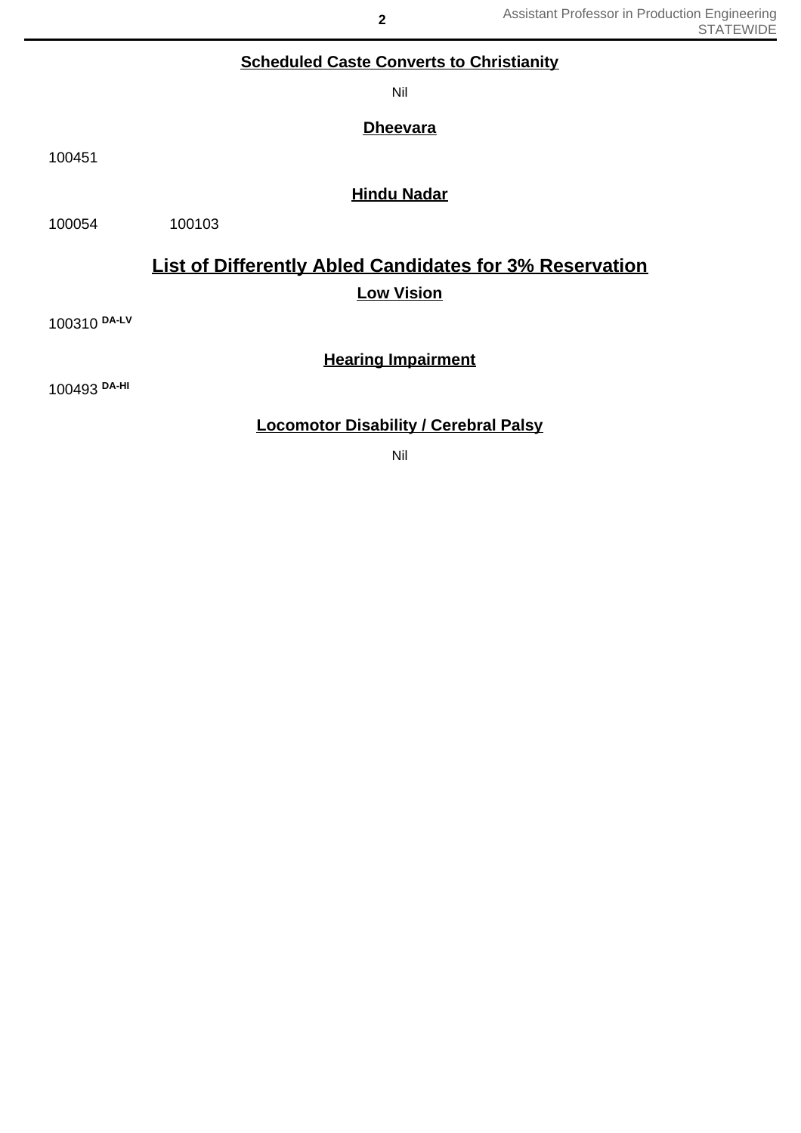# **Scheduled Caste Converts to Christianity**

Nil

**Dheevara**

100451

## **Hindu Nadar**

100054 100103

# **List of Differently Abled Candidates for 3% Reservation Low Vision**

100310 **DA-LV**

## **Hearing Impairment**

100493 **DA-HI**

# **Locomotor Disability / Cerebral Palsy**

Nil